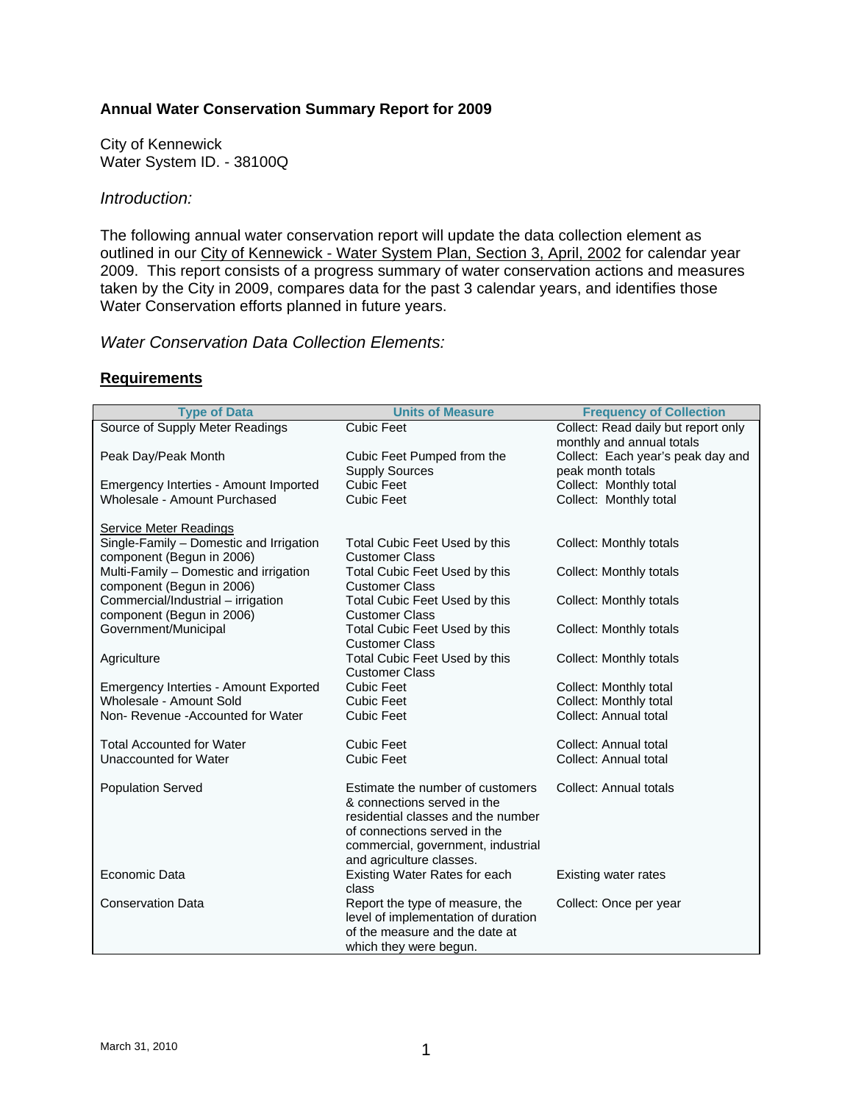### **Annual Water Conservation Summary Report for 2009**

City of Kennewick Water System ID. - 38100Q

### *Introduction:*

The following annual water conservation report will update the data collection element as outlined in our City of Kennewick - Water System Plan, Section 3, April, 2002 for calendar year 2009. This report consists of a progress summary of water conservation actions and measures taken by the City in 2009, compares data for the past 3 calendar years, and identifies those Water Conservation efforts planned in future years.

### *Water Conservation Data Collection Elements:*

### **Requirements**

| <b>Type of Data</b>                                                                                                           | <b>Units of Measure</b>                                                                                                                                                                                                                                                                                                                                                                                                                           | <b>Frequency of Collection</b>                                                                                                                                        |  |
|-------------------------------------------------------------------------------------------------------------------------------|---------------------------------------------------------------------------------------------------------------------------------------------------------------------------------------------------------------------------------------------------------------------------------------------------------------------------------------------------------------------------------------------------------------------------------------------------|-----------------------------------------------------------------------------------------------------------------------------------------------------------------------|--|
| Source of Supply Meter Readings                                                                                               | <b>Cubic Feet</b>                                                                                                                                                                                                                                                                                                                                                                                                                                 | Collect: Read daily but report only                                                                                                                                   |  |
|                                                                                                                               |                                                                                                                                                                                                                                                                                                                                                                                                                                                   | monthly and annual totals                                                                                                                                             |  |
| Peak Day/Peak Month                                                                                                           | Cubic Feet Pumped from the                                                                                                                                                                                                                                                                                                                                                                                                                        | Collect: Each year's peak day and                                                                                                                                     |  |
|                                                                                                                               | <b>Supply Sources</b>                                                                                                                                                                                                                                                                                                                                                                                                                             | peak month totals                                                                                                                                                     |  |
| Emergency Interties - Amount Imported                                                                                         | <b>Cubic Feet</b>                                                                                                                                                                                                                                                                                                                                                                                                                                 | Collect: Monthly total                                                                                                                                                |  |
| Wholesale - Amount Purchased                                                                                                  | <b>Cubic Feet</b>                                                                                                                                                                                                                                                                                                                                                                                                                                 | Collect: Monthly total                                                                                                                                                |  |
|                                                                                                                               |                                                                                                                                                                                                                                                                                                                                                                                                                                                   |                                                                                                                                                                       |  |
| <b>Service Meter Readings</b>                                                                                                 |                                                                                                                                                                                                                                                                                                                                                                                                                                                   |                                                                                                                                                                       |  |
| Single-Family - Domestic and Irrigation                                                                                       | Total Cubic Feet Used by this                                                                                                                                                                                                                                                                                                                                                                                                                     | <b>Collect: Monthly totals</b>                                                                                                                                        |  |
| component (Begun in 2006)                                                                                                     | <b>Customer Class</b>                                                                                                                                                                                                                                                                                                                                                                                                                             |                                                                                                                                                                       |  |
| Multi-Family - Domestic and irrigation                                                                                        | Total Cubic Feet Used by this                                                                                                                                                                                                                                                                                                                                                                                                                     | Collect: Monthly totals                                                                                                                                               |  |
| component (Begun in 2006)<br>Commercial/Industrial - irrigation                                                               | <b>Customer Class</b><br>Total Cubic Feet Used by this                                                                                                                                                                                                                                                                                                                                                                                            | Collect: Monthly totals                                                                                                                                               |  |
| component (Begun in 2006)                                                                                                     | <b>Customer Class</b>                                                                                                                                                                                                                                                                                                                                                                                                                             |                                                                                                                                                                       |  |
| Government/Municipal                                                                                                          | Total Cubic Feet Used by this                                                                                                                                                                                                                                                                                                                                                                                                                     | <b>Collect: Monthly totals</b>                                                                                                                                        |  |
|                                                                                                                               | <b>Customer Class</b>                                                                                                                                                                                                                                                                                                                                                                                                                             |                                                                                                                                                                       |  |
|                                                                                                                               |                                                                                                                                                                                                                                                                                                                                                                                                                                                   |                                                                                                                                                                       |  |
|                                                                                                                               |                                                                                                                                                                                                                                                                                                                                                                                                                                                   |                                                                                                                                                                       |  |
|                                                                                                                               | <b>Cubic Feet</b>                                                                                                                                                                                                                                                                                                                                                                                                                                 |                                                                                                                                                                       |  |
| Wholesale - Amount Sold                                                                                                       | <b>Cubic Feet</b>                                                                                                                                                                                                                                                                                                                                                                                                                                 |                                                                                                                                                                       |  |
| Non-Revenue - Accounted for Water                                                                                             | <b>Cubic Feet</b>                                                                                                                                                                                                                                                                                                                                                                                                                                 | Collect: Annual total                                                                                                                                                 |  |
|                                                                                                                               |                                                                                                                                                                                                                                                                                                                                                                                                                                                   |                                                                                                                                                                       |  |
| <b>Total Accounted for Water</b>                                                                                              | <b>Cubic Feet</b>                                                                                                                                                                                                                                                                                                                                                                                                                                 | Collect: Annual total                                                                                                                                                 |  |
| Unaccounted for Water                                                                                                         | <b>Cubic Feet</b>                                                                                                                                                                                                                                                                                                                                                                                                                                 | Collect: Annual total                                                                                                                                                 |  |
|                                                                                                                               |                                                                                                                                                                                                                                                                                                                                                                                                                                                   |                                                                                                                                                                       |  |
|                                                                                                                               |                                                                                                                                                                                                                                                                                                                                                                                                                                                   |                                                                                                                                                                       |  |
|                                                                                                                               |                                                                                                                                                                                                                                                                                                                                                                                                                                                   |                                                                                                                                                                       |  |
|                                                                                                                               |                                                                                                                                                                                                                                                                                                                                                                                                                                                   |                                                                                                                                                                       |  |
|                                                                                                                               |                                                                                                                                                                                                                                                                                                                                                                                                                                                   |                                                                                                                                                                       |  |
|                                                                                                                               |                                                                                                                                                                                                                                                                                                                                                                                                                                                   |                                                                                                                                                                       |  |
|                                                                                                                               |                                                                                                                                                                                                                                                                                                                                                                                                                                                   |                                                                                                                                                                       |  |
|                                                                                                                               |                                                                                                                                                                                                                                                                                                                                                                                                                                                   |                                                                                                                                                                       |  |
|                                                                                                                               |                                                                                                                                                                                                                                                                                                                                                                                                                                                   |                                                                                                                                                                       |  |
|                                                                                                                               |                                                                                                                                                                                                                                                                                                                                                                                                                                                   |                                                                                                                                                                       |  |
|                                                                                                                               |                                                                                                                                                                                                                                                                                                                                                                                                                                                   |                                                                                                                                                                       |  |
|                                                                                                                               |                                                                                                                                                                                                                                                                                                                                                                                                                                                   |                                                                                                                                                                       |  |
| Agriculture<br>Emergency Interties - Amount Exported<br><b>Population Served</b><br>Economic Data<br><b>Conservation Data</b> | Total Cubic Feet Used by this<br><b>Customer Class</b><br>Estimate the number of customers<br>& connections served in the<br>residential classes and the number<br>of connections served in the<br>commercial, government, industrial<br>and agriculture classes.<br>Existing Water Rates for each<br>class<br>Report the type of measure, the<br>level of implementation of duration<br>of the measure and the date at<br>which they were begun. | <b>Collect: Monthly totals</b><br>Collect: Monthly total<br>Collect: Monthly total<br><b>Collect: Annual totals</b><br>Existing water rates<br>Collect: Once per year |  |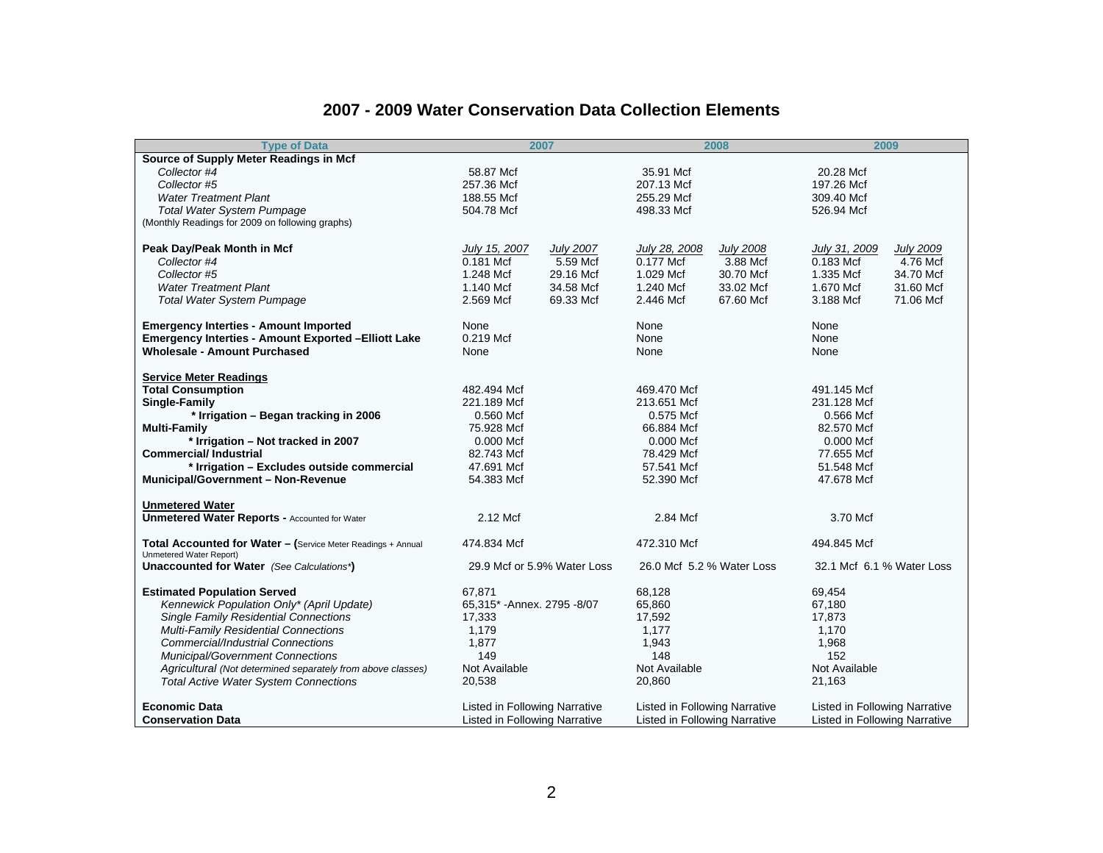#### **2007 - 2009 Water Conservation Data Collection Elements**

| <b>Type of Data</b>                                                                     |                                      | 2007                        |                                      | 2008             |                                      | 2009             |
|-----------------------------------------------------------------------------------------|--------------------------------------|-----------------------------|--------------------------------------|------------------|--------------------------------------|------------------|
| Source of Supply Meter Readings in Mcf                                                  |                                      |                             |                                      |                  |                                      |                  |
| Collector #4                                                                            | 58.87 Mcf                            |                             | 35.91 Mcf                            |                  | 20.28 Mcf                            |                  |
| Collector #5                                                                            | 257.36 Mcf                           |                             | 207.13 Mcf                           |                  | 197.26 Mcf                           |                  |
| <b>Water Treatment Plant</b>                                                            | 188.55 Mcf                           |                             | 255.29 Mcf                           |                  | 309.40 Mcf                           |                  |
| <b>Total Water System Pumpage</b>                                                       | 504.78 Mcf                           |                             | 498.33 Mcf                           |                  | 526.94 Mcf                           |                  |
| (Monthly Readings for 2009 on following graphs)                                         |                                      |                             |                                      |                  |                                      |                  |
| Peak Day/Peak Month in Mcf                                                              | July 15, 2007                        | <b>July 2007</b>            | July 28, 2008                        | <b>July 2008</b> | July 31, 2009                        | <b>July 2009</b> |
| Collector #4                                                                            | 0.181 Mcf                            | 5.59 Mcf                    | 0.177 Mcf                            | 3.88 Mcf         | 0.183 Mcf                            | 4.76 Mcf         |
| Collector #5                                                                            | 1.248 Mcf                            | 29.16 Mcf                   | 1.029 Mcf                            | 30.70 Mcf        | 1.335 Mcf                            | 34.70 Mcf        |
| <b>Water Treatment Plant</b>                                                            | 1.140 Mcf                            | 34.58 Mcf                   | 1.240 Mcf                            | 33.02 Mcf        | 1.670 Mcf                            | 31.60 Mcf        |
| <b>Total Water System Pumpage</b>                                                       | 2.569 Mcf                            | 69.33 Mcf                   | 2.446 Mcf                            | 67.60 Mcf        | 3.188 Mcf                            | 71.06 Mcf        |
| <b>Emergency Interties - Amount Imported</b>                                            | None                                 |                             | None                                 |                  | None                                 |                  |
| <b>Emergency Interties - Amount Exported - Elliott Lake</b>                             | 0.219 Mcf                            |                             | None                                 |                  | None                                 |                  |
| <b>Wholesale - Amount Purchased</b>                                                     | None                                 |                             | None                                 |                  | None                                 |                  |
| <b>Service Meter Readings</b>                                                           |                                      |                             |                                      |                  |                                      |                  |
| <b>Total Consumption</b>                                                                | 482.494 Mcf                          |                             | 469.470 Mcf                          |                  | 491.145 Mcf                          |                  |
| Single-Family                                                                           | 221.189 Mcf                          |                             | 213.651 Mcf                          |                  | 231.128 Mcf                          |                  |
| * Irrigation - Began tracking in 2006                                                   | 0.560 Mcf                            |                             | 0.575 Mcf                            |                  | 0.566 Mcf                            |                  |
| <b>Multi-Family</b>                                                                     | 75.928 Mcf                           |                             | 66.884 Mcf                           |                  | 82.570 Mcf                           |                  |
| * Irrigation - Not tracked in 2007                                                      | 0.000 Mcf                            |                             | 0.000 Mcf                            |                  | 0.000 Mcf                            |                  |
| <b>Commercial/Industrial</b>                                                            | 82.743 Mcf                           |                             | 78.429 Mcf                           |                  | 77.655 Mcf                           |                  |
| * Irrigation - Excludes outside commercial                                              | 47.691 Mcf                           |                             | 57.541 Mcf                           |                  | 51.548 Mcf                           |                  |
| Municipal/Government - Non-Revenue                                                      | 54.383 Mcf                           |                             | 52.390 Mcf                           |                  | 47.678 Mcf                           |                  |
| <b>Unmetered Water</b>                                                                  |                                      |                             |                                      |                  |                                      |                  |
| <b>Unmetered Water Reports - Accounted for Water</b>                                    | 2.12 Mcf                             |                             | 2.84 Mcf                             |                  | 3.70 Mcf                             |                  |
| Total Accounted for Water - (Service Meter Readings + Annual<br>Unmetered Water Report) | 474.834 Mcf                          |                             | 472.310 Mcf                          |                  | 494.845 Mcf                          |                  |
| Unaccounted for Water (See Calculations*)                                               |                                      | 29.9 Mcf or 5.9% Water Loss | 26.0 Mcf 5.2 % Water Loss            |                  | 32.1 Mcf 6.1 % Water Loss            |                  |
| <b>Estimated Population Served</b>                                                      | 67,871                               |                             | 68,128                               |                  | 69,454                               |                  |
| Kennewick Population Only* (April Update)                                               | 65,315* - Annex. 2795 - 8/07         |                             | 65,860                               |                  | 67,180                               |                  |
| <b>Single Family Residential Connections</b>                                            | 17,333                               |                             | 17,592                               |                  | 17,873                               |                  |
| <b>Multi-Family Residential Connections</b>                                             | 1,179                                |                             | 1,177                                |                  | 1,170                                |                  |
| <b>Commercial/Industrial Connections</b>                                                | 1,877                                |                             | 1,943                                |                  | 1,968                                |                  |
| Municipal/Government Connections                                                        | 149                                  |                             | 148                                  |                  | 152                                  |                  |
| Agricultural (Not determined separately from above classes)                             | Not Available                        |                             | Not Available                        |                  | Not Available                        |                  |
| <b>Total Active Water System Connections</b>                                            | 20,538                               |                             | 20,860                               |                  | 21,163                               |                  |
| <b>Economic Data</b>                                                                    | <b>Listed in Following Narrative</b> |                             | <b>Listed in Following Narrative</b> |                  | <b>Listed in Following Narrative</b> |                  |
| <b>Conservation Data</b>                                                                | <b>Listed in Following Narrative</b> |                             | <b>Listed in Following Narrative</b> |                  | <b>Listed in Following Narrative</b> |                  |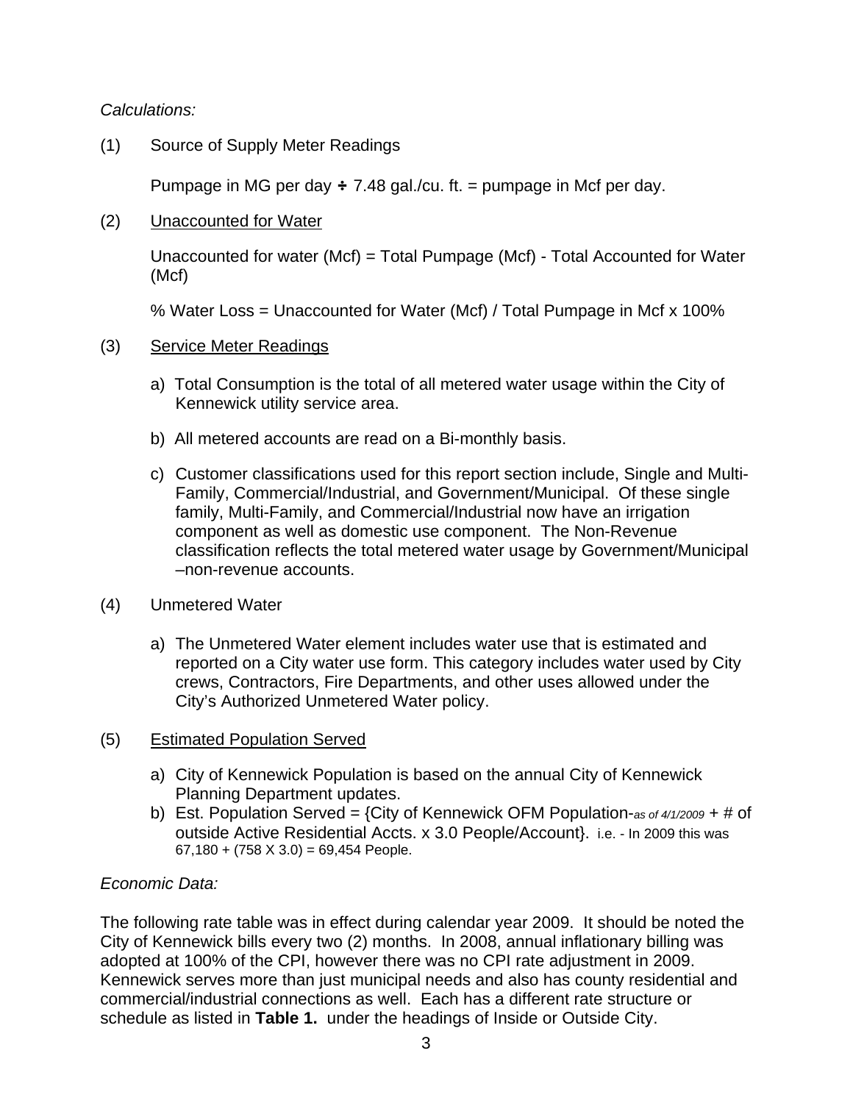*Calculations:* 

(1) Source of Supply Meter Readings

Pumpage in MG per day  $\div$  7.48 gal./cu. ft. = pumpage in Mcf per day.

(2) Unaccounted for Water

Unaccounted for water (Mcf) = Total Pumpage (Mcf) - Total Accounted for Water (Mcf)

% Water Loss = Unaccounted for Water (Mcf) / Total Pumpage in Mcf x 100%

### (3) Service Meter Readings

- a) Total Consumption is the total of all metered water usage within the City of Kennewick utility service area.
- b) All metered accounts are read on a Bi-monthly basis.
- c) Customer classifications used for this report section include, Single and Multi-Family, Commercial/Industrial, and Government/Municipal. Of these single family, Multi-Family, and Commercial/Industrial now have an irrigation component as well as domestic use component. The Non-Revenue classification reflects the total metered water usage by Government/Municipal –non-revenue accounts.
- (4) Unmetered Water
	- a) The Unmetered Water element includes water use that is estimated and reported on a City water use form. This category includes water used by City crews, Contractors, Fire Departments, and other uses allowed under the City's Authorized Unmetered Water policy.

## (5) Estimated Population Served

- a) City of Kennewick Population is based on the annual City of Kennewick Planning Department updates.
- b) Est. Population Served = {City of Kennewick OFM Population-*as of 4/1/2009* + # of outside Active Residential Accts. x 3.0 People/Account}. i.e. - In 2009 this was  $67,180 + (758 \times 3.0) = 69,454$  People.

## *Economic Data:*

The following rate table was in effect during calendar year 2009. It should be noted the City of Kennewick bills every two (2) months. In 2008, annual inflationary billing was adopted at 100% of the CPI, however there was no CPI rate adjustment in 2009. Kennewick serves more than just municipal needs and also has county residential and commercial/industrial connections as well. Each has a different rate structure or schedule as listed in **Table 1.** under the headings of Inside or Outside City.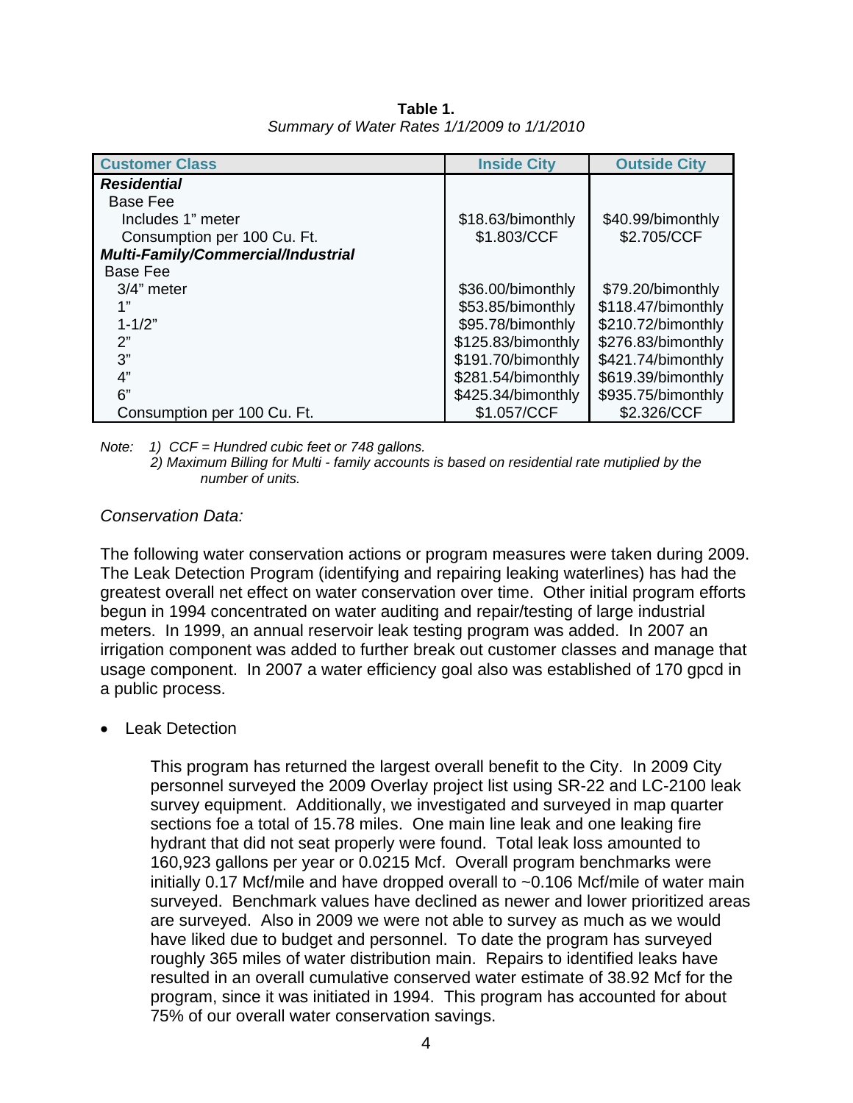| <b>Customer Class</b>                     | <b>Inside City</b> | <b>Outside City</b> |
|-------------------------------------------|--------------------|---------------------|
| <b>Residential</b>                        |                    |                     |
| Base Fee                                  |                    |                     |
| Includes 1" meter                         | \$18.63/bimonthly  | \$40.99/bimonthly   |
| Consumption per 100 Cu. Ft.               | \$1.803/CCF        | \$2.705/CCF         |
| <b>Multi-Family/Commercial/Industrial</b> |                    |                     |
| Base Fee                                  |                    |                     |
| 3/4" meter                                | \$36.00/bimonthly  | \$79.20/bimonthly   |
| 1"                                        | \$53.85/bimonthly  | \$118.47/bimonthly  |
| $1 - 1/2"$                                | \$95.78/bimonthly  | \$210.72/bimonthly  |
| 2"                                        | \$125.83/bimonthly | \$276.83/bimonthly  |
| 3"                                        | \$191.70/bimonthly | \$421.74/bimonthly  |
| 4"                                        | \$281.54/bimonthly | \$619.39/bimonthly  |
| 6"                                        | \$425.34/bimonthly | \$935.75/bimonthly  |
| Consumption per 100 Cu. Ft.               | \$1.057/CCF        | \$2.326/CCF         |

**Table 1.** *Summary of Water Rates 1/1/2009 to 1/1/2010* 

*Note: 1) CCF = Hundred cubic feet or 748 gallons.* 

*2) Maximum Billing for Multi - family accounts is based on residential rate mutiplied by the number of units.*

### *Conservation Data:*

The following water conservation actions or program measures were taken during 2009. The Leak Detection Program (identifying and repairing leaking waterlines) has had the greatest overall net effect on water conservation over time. Other initial program efforts begun in 1994 concentrated on water auditing and repair/testing of large industrial meters. In 1999, an annual reservoir leak testing program was added. In 2007 an irrigation component was added to further break out customer classes and manage that usage component. In 2007 a water efficiency goal also was established of 170 gpcd in a public process.

• Leak Detection

This program has returned the largest overall benefit to the City. In 2009 City personnel surveyed the 2009 Overlay project list using SR-22 and LC-2100 leak survey equipment. Additionally, we investigated and surveyed in map quarter sections foe a total of 15.78 miles. One main line leak and one leaking fire hydrant that did not seat properly were found. Total leak loss amounted to 160,923 gallons per year or 0.0215 Mcf. Overall program benchmarks were initially 0.17 Mcf/mile and have dropped overall to ~0.106 Mcf/mile of water main surveyed. Benchmark values have declined as newer and lower prioritized areas are surveyed. Also in 2009 we were not able to survey as much as we would have liked due to budget and personnel. To date the program has surveyed roughly 365 miles of water distribution main. Repairs to identified leaks have resulted in an overall cumulative conserved water estimate of 38.92 Mcf for the program, since it was initiated in 1994. This program has accounted for about 75% of our overall water conservation savings.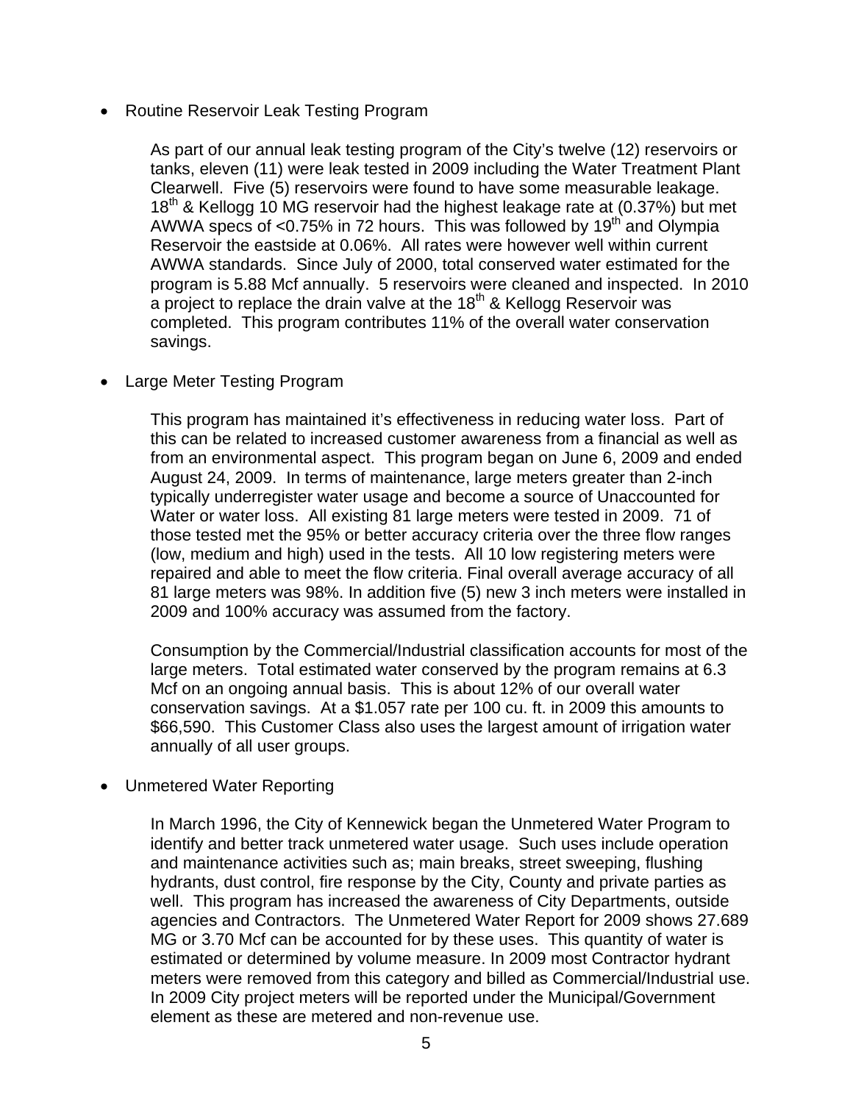• Routine Reservoir Leak Testing Program

As part of our annual leak testing program of the City's twelve (12) reservoirs or tanks, eleven (11) were leak tested in 2009 including the Water Treatment Plant Clearwell. Five (5) reservoirs were found to have some measurable leakage. 18<sup>th</sup> & Kellogg 10 MG reservoir had the highest leakage rate at (0.37%) but met AWWA specs of  $<$ 0.75% in 72 hours. This was followed by 19<sup>th</sup> and Olympia Reservoir the eastside at 0.06%. All rates were however well within current AWWA standards. Since July of 2000, total conserved water estimated for the program is 5.88 Mcf annually. 5 reservoirs were cleaned and inspected. In 2010 a project to replace the drain valve at the 18<sup>th</sup> & Kellogg Reservoir was completed. This program contributes 11% of the overall water conservation savings.

• Large Meter Testing Program

This program has maintained it's effectiveness in reducing water loss. Part of this can be related to increased customer awareness from a financial as well as from an environmental aspect. This program began on June 6, 2009 and ended August 24, 2009. In terms of maintenance, large meters greater than 2-inch typically underregister water usage and become a source of Unaccounted for Water or water loss. All existing 81 large meters were tested in 2009. 71 of those tested met the 95% or better accuracy criteria over the three flow ranges (low, medium and high) used in the tests. All 10 low registering meters were repaired and able to meet the flow criteria. Final overall average accuracy of all 81 large meters was 98%. In addition five (5) new 3 inch meters were installed in 2009 and 100% accuracy was assumed from the factory.

Consumption by the Commercial/Industrial classification accounts for most of the large meters. Total estimated water conserved by the program remains at 6.3 Mcf on an ongoing annual basis. This is about 12% of our overall water conservation savings. At a \$1.057 rate per 100 cu. ft. in 2009 this amounts to \$66,590. This Customer Class also uses the largest amount of irrigation water annually of all user groups.

• Unmetered Water Reporting

In March 1996, the City of Kennewick began the Unmetered Water Program to identify and better track unmetered water usage. Such uses include operation and maintenance activities such as; main breaks, street sweeping, flushing hydrants, dust control, fire response by the City, County and private parties as well. This program has increased the awareness of City Departments, outside agencies and Contractors. The Unmetered Water Report for 2009 shows 27.689 MG or 3.70 Mcf can be accounted for by these uses. This quantity of water is estimated or determined by volume measure. In 2009 most Contractor hydrant meters were removed from this category and billed as Commercial/Industrial use. In 2009 City project meters will be reported under the Municipal/Government element as these are metered and non-revenue use.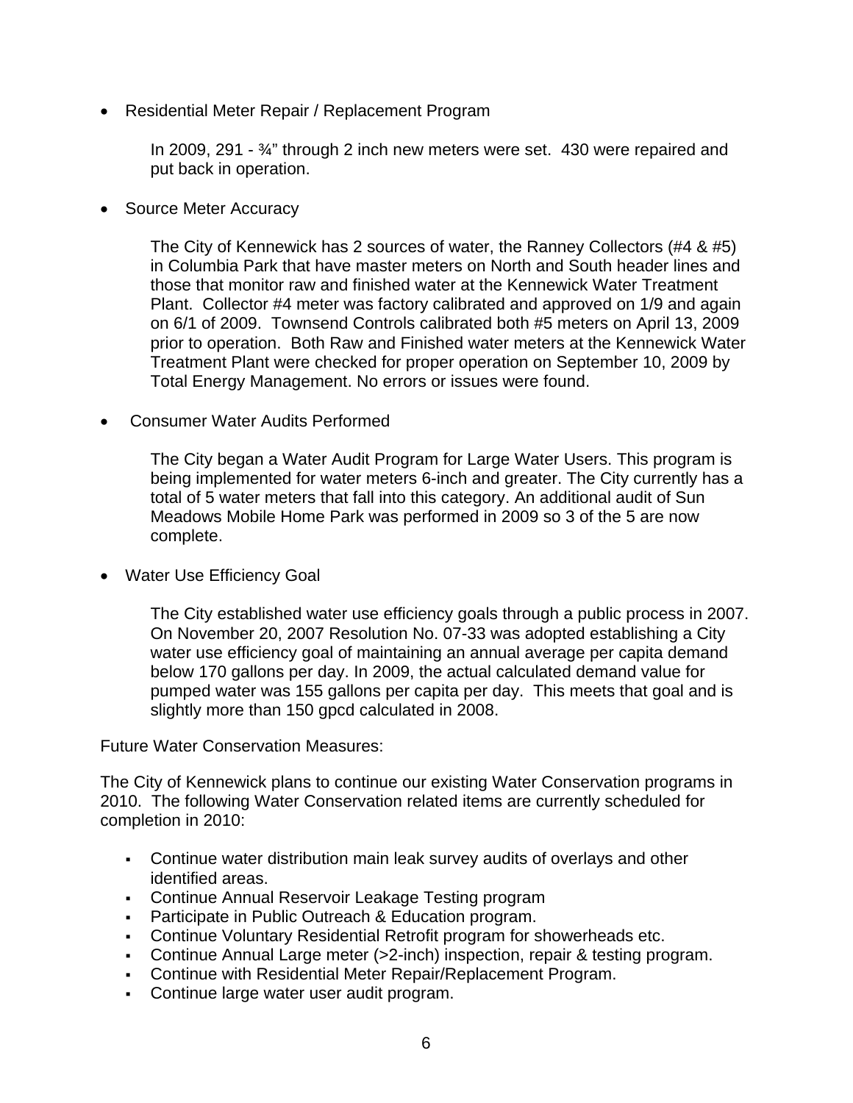• Residential Meter Repair / Replacement Program

In 2009, 291 - ¾" through 2 inch new meters were set. 430 were repaired and put back in operation.

• Source Meter Accuracy

The City of Kennewick has 2 sources of water, the Ranney Collectors (#4 & #5) in Columbia Park that have master meters on North and South header lines and those that monitor raw and finished water at the Kennewick Water Treatment Plant. Collector #4 meter was factory calibrated and approved on 1/9 and again on 6/1 of 2009. Townsend Controls calibrated both #5 meters on April 13, 2009 prior to operation. Both Raw and Finished water meters at the Kennewick Water Treatment Plant were checked for proper operation on September 10, 2009 by Total Energy Management. No errors or issues were found.

• Consumer Water Audits Performed

The City began a Water Audit Program for Large Water Users. This program is being implemented for water meters 6-inch and greater. The City currently has a total of 5 water meters that fall into this category. An additional audit of Sun Meadows Mobile Home Park was performed in 2009 so 3 of the 5 are now complete.

• Water Use Efficiency Goal

The City established water use efficiency goals through a public process in 2007. On November 20, 2007 Resolution No. 07-33 was adopted establishing a City water use efficiency goal of maintaining an annual average per capita demand below 170 gallons per day. In 2009, the actual calculated demand value for pumped water was 155 gallons per capita per day. This meets that goal and is slightly more than 150 gpcd calculated in 2008.

Future Water Conservation Measures:

The City of Kennewick plans to continue our existing Water Conservation programs in 2010. The following Water Conservation related items are currently scheduled for completion in 2010:

- Continue water distribution main leak survey audits of overlays and other identified areas.
- Continue Annual Reservoir Leakage Testing program
- **Participate in Public Outreach & Education program.**
- Continue Voluntary Residential Retrofit program for showerheads etc.
- Continue Annual Large meter (>2-inch) inspection, repair & testing program.
- Continue with Residential Meter Repair/Replacement Program.
- Continue large water user audit program.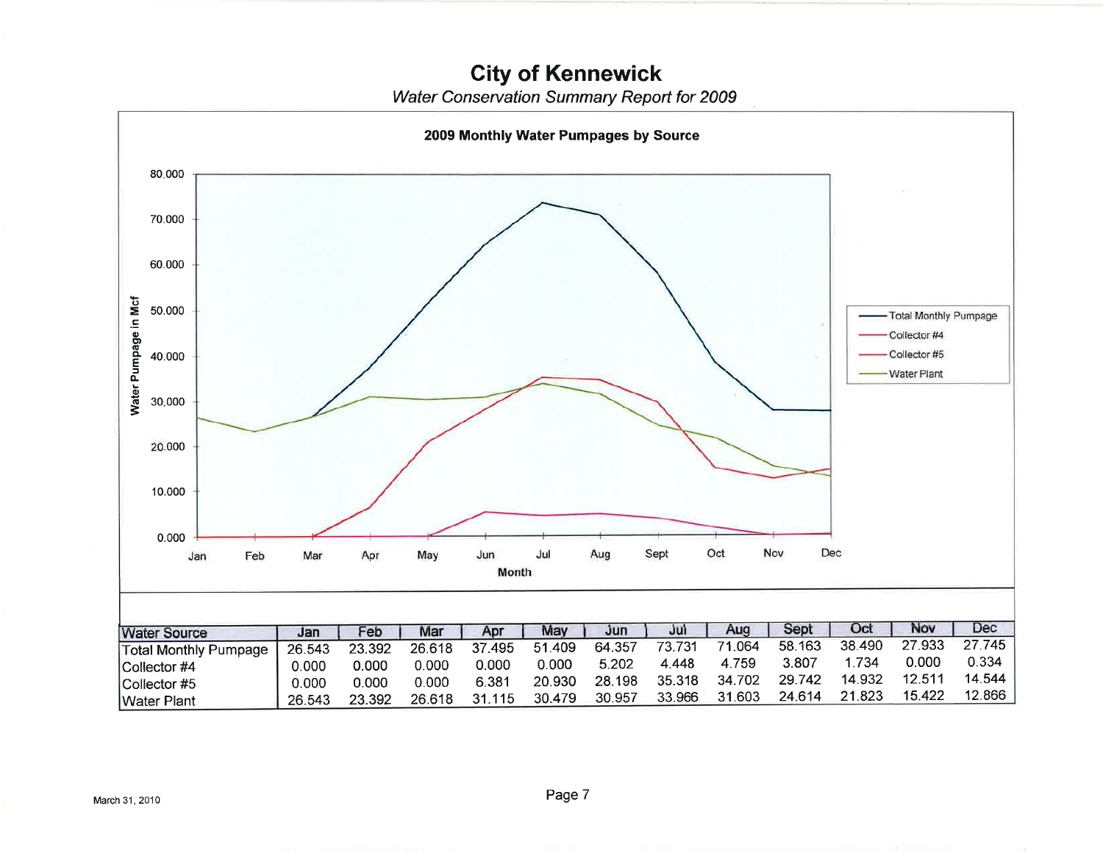**City of Kennewick** 

Water Conservation Summary Report for 2009

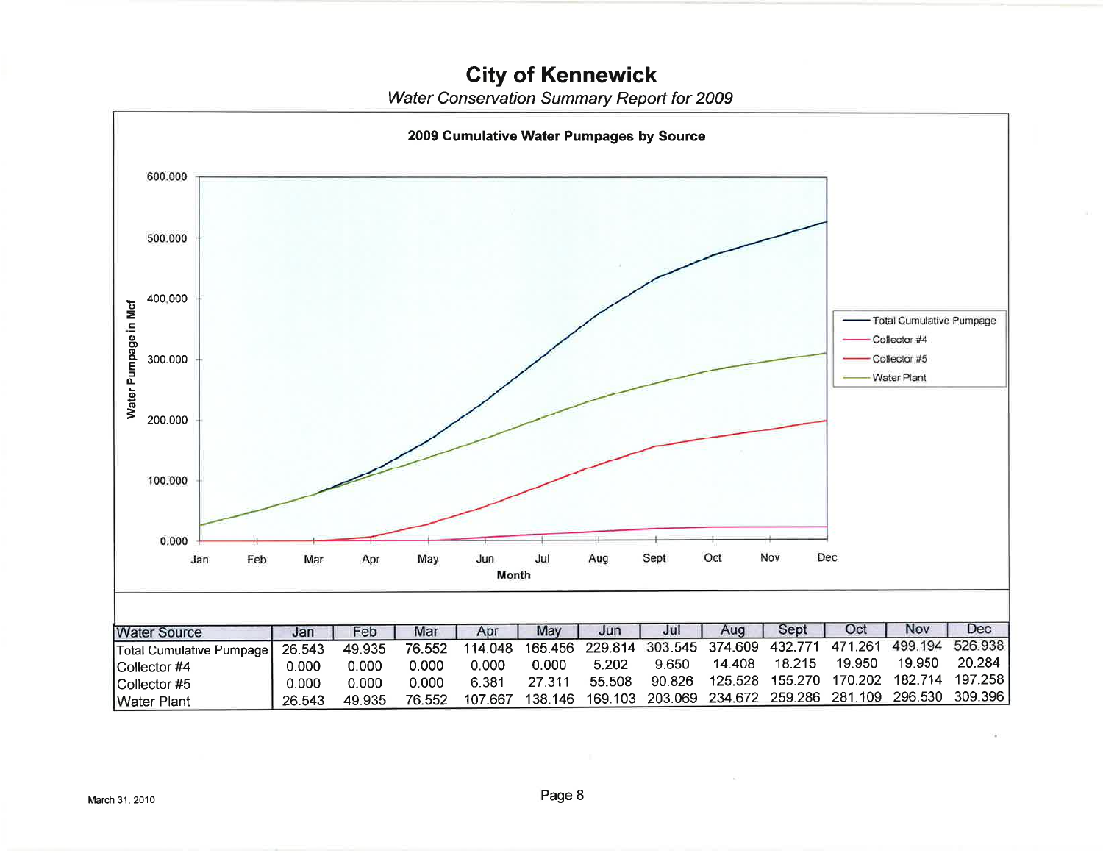# **City of Kennewick**

Water Conservation Summary Report for 2009

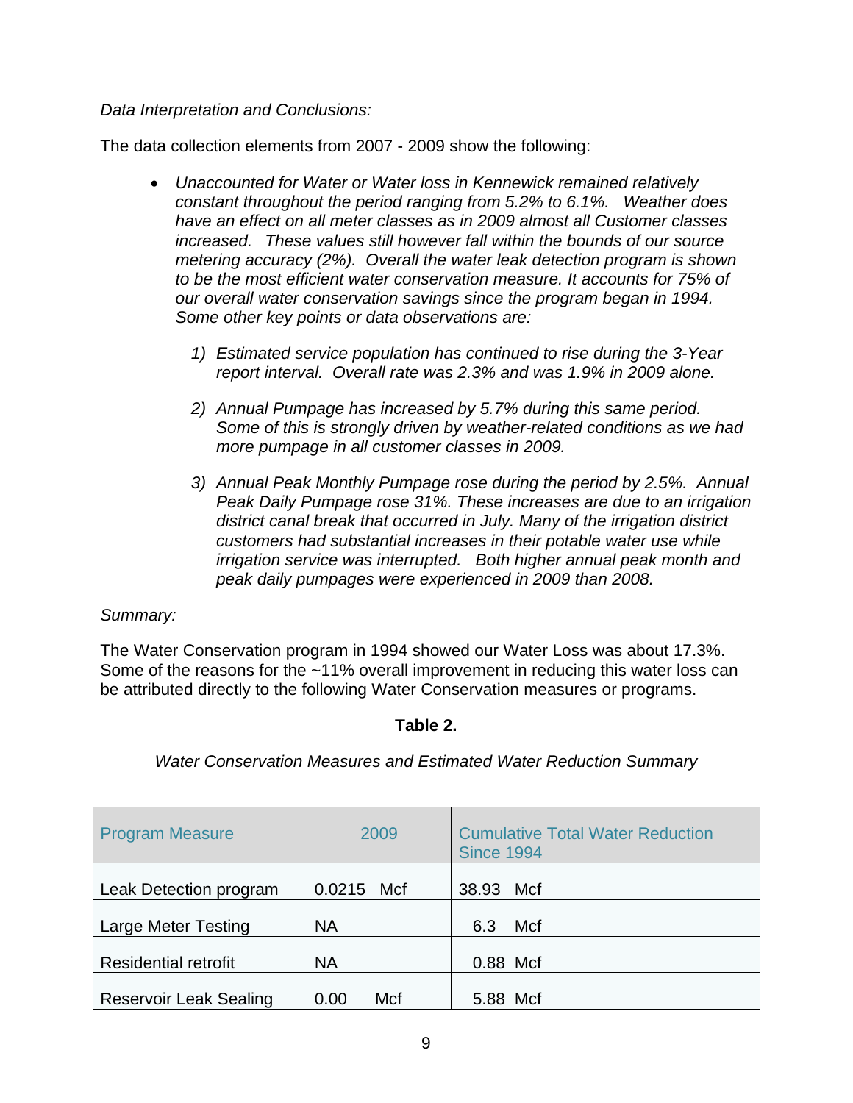*Data Interpretation and Conclusions:* 

The data collection elements from 2007 - 2009 show the following:

- *Unaccounted for Water or Water loss in Kennewick remained relatively constant throughout the period ranging from 5.2% to 6.1%. Weather does have an effect on all meter classes as in 2009 almost all Customer classes increased. These values still however fall within the bounds of our source metering accuracy (2%). Overall the water leak detection program is shown to be the most efficient water conservation measure. It accounts for 75% of our overall water conservation savings since the program began in 1994. Some other key points or data observations are:* 
	- *1) Estimated service population has continued to rise during the 3-Year report interval. Overall rate was 2.3% and was 1.9% in 2009 alone.*
	- *2) Annual Pumpage has increased by 5.7% during this same period. Some of this is strongly driven by weather-related conditions as we had more pumpage in all customer classes in 2009.*
	- *3) Annual Peak Monthly Pumpage rose during the period by 2.5%. Annual Peak Daily Pumpage rose 31%. These increases are due to an irrigation district canal break that occurred in July. Many of the irrigation district customers had substantial increases in their potable water use while irrigation service was interrupted. Both higher annual peak month and peak daily pumpages were experienced in 2009 than 2008.*

### *Summary:*

The Water Conservation program in 1994 showed our Water Loss was about 17.3%. Some of the reasons for the ~11% overall improvement in reducing this water loss can be attributed directly to the following Water Conservation measures or programs.

### **Table 2.**

*Water Conservation Measures and Estimated Water Reduction Summary* 

| <b>Program Measure</b>        | 2009          | <b>Cumulative Total Water Reduction</b><br><b>Since 1994</b> |
|-------------------------------|---------------|--------------------------------------------------------------|
| Leak Detection program        | 0.0215<br>Mcf | 38.93<br>Mcf                                                 |
| <b>Large Meter Testing</b>    | <b>NA</b>     | Mcf<br>6.3                                                   |
| <b>Residential retrofit</b>   | <b>NA</b>     | 0.88 Mcf                                                     |
| <b>Reservoir Leak Sealing</b> | Mcf<br>0.00   | 5.88 Mcf                                                     |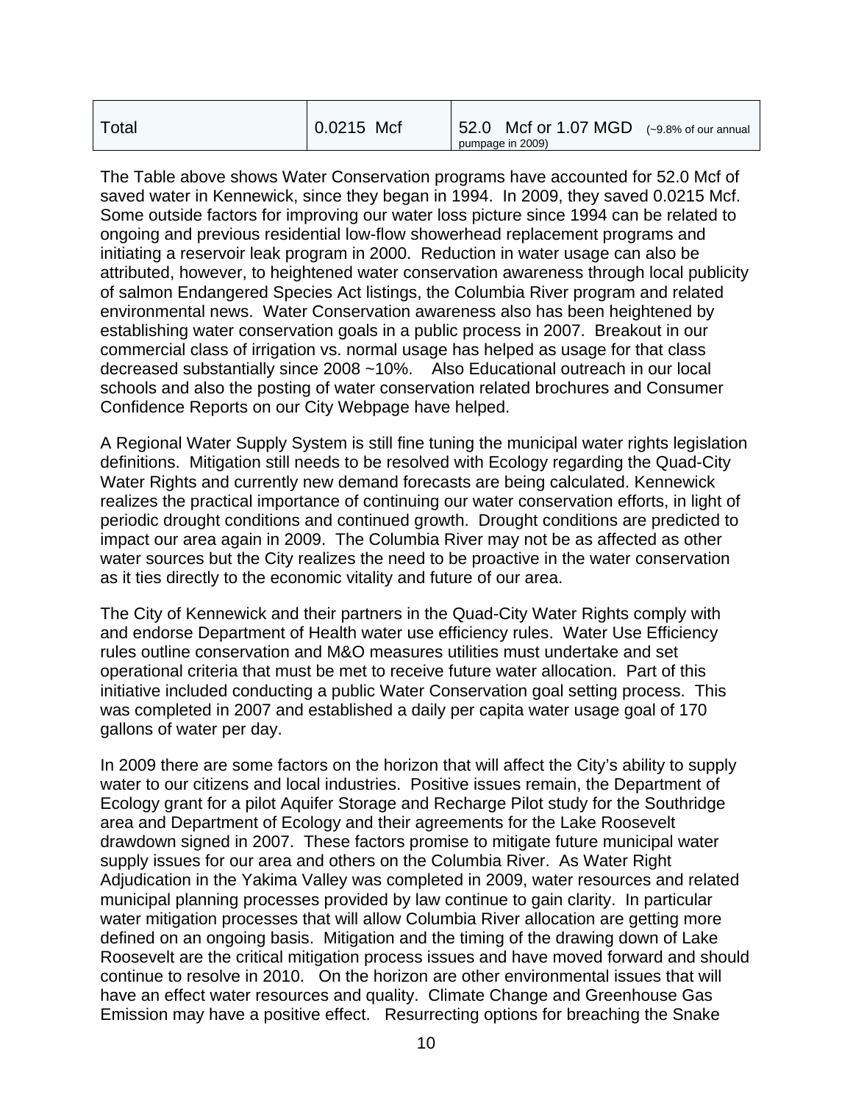| Total | $0.0215$ Mcf | 52.0 Mcf or $1.07$ MGD $(-9.8\%$ of our annual |
|-------|--------------|------------------------------------------------|
|       |              | pumpage in 2009)                               |

The Table above shows Water Conservation programs have accounted for 52.0 Mcf of saved water in Kennewick, since they began in 1994. In 2009, they saved 0.0215 Mcf. Some outside factors for improving our water loss picture since 1994 can be related to ongoing and previous residential low-flow showerhead replacement programs and initiating a reservoir leak program in 2000. Reduction in water usage can also be attributed, however, to heightened water conservation awareness through local publicity of salmon Endangered Species Act listings, the Columbia River program and related environmental news. Water Conservation awareness also has been heightened by establishing water conservation goals in a public process in 2007. Breakout in our commercial class of irrigation vs. normal usage has helped as usage for that class decreased substantially since 2008 ~10%. Also Educational outreach in our local schools and also the posting of water conservation related brochures and Consumer Confidence Reports on our City Webpage have helped.

A Regional Water Supply System is still fine tuning the municipal water rights legislation definitions. Mitigation still needs to be resolved with Ecology regarding the Quad-City Water Rights and currently new demand forecasts are being calculated. Kennewick realizes the practical importance of continuing our water conservation efforts, in light of periodic drought conditions and continued growth. Drought conditions are predicted to impact our area again in 2009. The Columbia River may not be as affected as other water sources but the City realizes the need to be proactive in the water conservation as it ties directly to the economic vitality and future of our area.

The City of Kennewick and their partners in the Quad-City Water Rights comply with and endorse Department of Health water use efficiency rules. Water Use Efficiency rules outline conservation and M&O measures utilities must undertake and set operational criteria that must be met to receive future water allocation. Part of this initiative included conducting a public Water Conservation goal setting process. This was completed in 2007 and established a daily per capita water usage goal of 170 gallons of water per day.

In 2009 there are some factors on the horizon that will affect the City's ability to supply water to our citizens and local industries. Positive issues remain, the Department of Ecology grant for a pilot Aquifer Storage and Recharge Pilot study for the Southridge area and Department of Ecology and their agreements for the Lake Roosevelt drawdown signed in 2007. These factors promise to mitigate future municipal water supply issues for our area and others on the Columbia River. As Water Right Adjudication in the Yakima Valley was completed in 2009, water resources and related municipal planning processes provided by law continue to gain clarity. In particular water mitigation processes that will allow Columbia River allocation are getting more defined on an ongoing basis. Mitigation and the timing of the drawing down of Lake Roosevelt are the critical mitigation process issues and have moved forward and should continue to resolve in 2010. On the horizon are other environmental issues that will have an effect water resources and quality. Climate Change and Greenhouse Gas Emission may have a positive effect. Resurrecting options for breaching the Snake